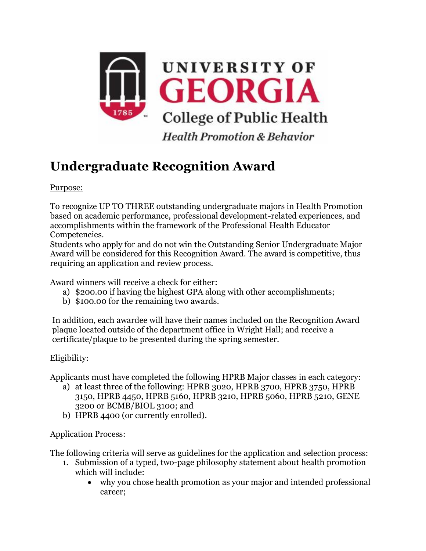

## **Undergraduate Recognition Award**

Purpose:

To recognize UP TO THREE outstanding undergraduate majors in Health Promotion based on academic performance, professional development-related experiences, and accomplishments within the framework of the Professional Health Educator Competencies.

Students who apply for and do not win the Outstanding Senior Undergraduate Major Award will be considered for this Recognition Award. The award is competitive, thus requiring an application and review process.

Award winners will receive a check for either:

- a) \$200.00 if having the highest GPA along with other accomplishments;
- b) \$100.00 for the remaining two awards.

In addition, each awardee will have their names included on the Recognition Award plaque located outside of the department office in Wright Hall; and receive a certificate/plaque to be presented during the spring semester.

## Eligibility:

Applicants must have completed the following HPRB Major classes in each category:

- a) at least three of the following: HPRB 3020, HPRB 3700, HPRB 3750, HPRB 3150, HPRB 4450, HPRB 5160, HPRB 3210, HPRB 5060, HPRB 5210, GENE 3200 or BCMB/BIOL 3100; and
- b) HPRB 4400 (or currently enrolled).

## Application Process:

The following criteria will serve as guidelines for the application and selection process:

- 1. Submission of a typed, two-page philosophy statement about health promotion which will include:
	- why you chose health promotion as your major and intended professional career;